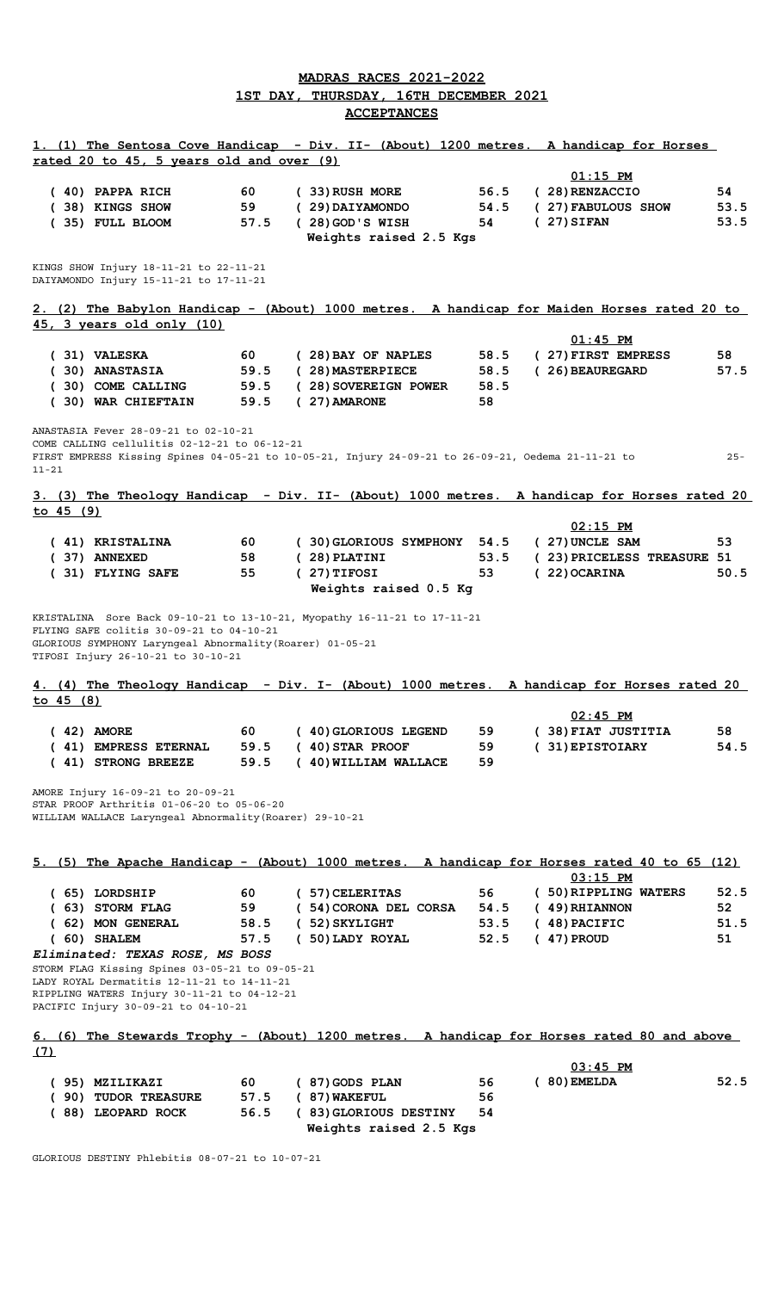## **MADRAS RACES 2021-2022 1ST DAY, THURSDAY, 16TH DECEMBER 2021 ACCEPTANCES**

|           | rated 20 to 45, 5 years old and over (9)                                                                                                                                           |      |                                                                                                    |      | 1. (1) The Sentosa Cove Handicap - Div. II- (About) 1200 metres. A handicap for Horses      |        |
|-----------|------------------------------------------------------------------------------------------------------------------------------------------------------------------------------------|------|----------------------------------------------------------------------------------------------------|------|---------------------------------------------------------------------------------------------|--------|
|           |                                                                                                                                                                                    |      |                                                                                                    |      | $01:15$ PM                                                                                  |        |
|           | $(40)$ PAPPA RICH                                                                                                                                                                  | 60   | (33) RUSH MORE                                                                                     | 56.5 | (28) RENZACCIO                                                                              | 54     |
|           |                                                                                                                                                                                    |      |                                                                                                    |      |                                                                                             |        |
|           | (38) KINGS SHOW                                                                                                                                                                    | 59   | (29) DAIYAMONDO                                                                                    | 54.5 | (27) FABULOUS SHOW                                                                          | 53.5   |
|           | (35) FULL BLOOM                                                                                                                                                                    | 57.5 | (28) GOD'S WISH                                                                                    | 54   | $(27)$ SIFAN                                                                                | 53.5   |
|           |                                                                                                                                                                                    |      | Weights raised 2.5 Kgs                                                                             |      |                                                                                             |        |
|           |                                                                                                                                                                                    |      |                                                                                                    |      |                                                                                             |        |
|           | KINGS SHOW Injury 18-11-21 to 22-11-21                                                                                                                                             |      |                                                                                                    |      |                                                                                             |        |
|           | DAIYAMONDO Injury 15-11-21 to 17-11-21                                                                                                                                             |      |                                                                                                    |      |                                                                                             |        |
|           |                                                                                                                                                                                    |      |                                                                                                    |      |                                                                                             |        |
|           |                                                                                                                                                                                    |      |                                                                                                    |      | 2. (2) The Babylon Handicap - (About) 1000 metres. A handicap for Maiden Horses rated 20 to |        |
|           | 45, 3 years old only (10)                                                                                                                                                          |      |                                                                                                    |      |                                                                                             |        |
|           |                                                                                                                                                                                    |      |                                                                                                    |      | $01:45$ PM                                                                                  |        |
|           | (31) VALESKA                                                                                                                                                                       | 60 — | (28) BAY OF NAPLES                                                                                 | 58.5 | (27) FIRST EMPRESS                                                                          | 58     |
|           | (30) ANASTASIA                                                                                                                                                                     |      | 59.5 (28) MASTERPIECE                                                                              | 58.5 | (26) BEAUREGARD                                                                             | 57.5   |
|           | (30) COME CALLING                                                                                                                                                                  |      | 59.5 (28) SOVEREIGN POWER                                                                          | 58.5 |                                                                                             |        |
|           | (30) WAR CHIEFTAIN                                                                                                                                                                 | 59.5 | $(27)$ AMARONE                                                                                     | 58   |                                                                                             |        |
|           |                                                                                                                                                                                    |      |                                                                                                    |      |                                                                                             |        |
|           | ANASTASIA Fever 28-09-21 to 02-10-21                                                                                                                                               |      |                                                                                                    |      |                                                                                             |        |
|           | COME CALLING cellulitis 02-12-21 to 06-12-21                                                                                                                                       |      |                                                                                                    |      |                                                                                             |        |
| $11 - 21$ |                                                                                                                                                                                    |      | FIRST EMPRESS Kissing Spines 04-05-21 to 10-05-21, Injury 24-09-21 to 26-09-21, Oedema 21-11-21 to |      |                                                                                             | $25 -$ |
|           |                                                                                                                                                                                    |      |                                                                                                    |      |                                                                                             |        |
|           |                                                                                                                                                                                    |      |                                                                                                    |      | 3. (3) The Theology Handicap - Div. II- (About) 1000 metres. A handicap for Horses rated 20 |        |
| to 45 (9) |                                                                                                                                                                                    |      |                                                                                                    |      |                                                                                             |        |
|           |                                                                                                                                                                                    |      |                                                                                                    |      | $02:15$ PM                                                                                  |        |
|           | (41) KRISTALINA                                                                                                                                                                    | 60   | (30) GLORIOUS SYMPHONY 54.5                                                                        |      | (27) UNCLE SAM                                                                              | 53     |
|           | (37) ANNEXED                                                                                                                                                                       | 58   |                                                                                                    | 53.5 |                                                                                             |        |
|           |                                                                                                                                                                                    |      | $(28)$ PLATINI                                                                                     |      | (23) PRICELESS TREASURE 51                                                                  |        |
|           | (31) FLYING SAFE                                                                                                                                                                   | 55   | $(27)$ TIFOSI                                                                                      | 53   | $(22)$ OCARINA                                                                              | 50.5   |
|           |                                                                                                                                                                                    |      | Weights raised 0.5 Kg                                                                              |      |                                                                                             |        |
|           | TIFOSI Injury 26-10-21 to 30-10-21                                                                                                                                                 |      |                                                                                                    |      | 4. (4) The Theology Handicap - Div. I- (About) 1000 metres. A handicap for Horses rated 20  |        |
| to 45 (8) |                                                                                                                                                                                    |      |                                                                                                    |      |                                                                                             |        |
|           |                                                                                                                                                                                    |      |                                                                                                    |      | $02:45$ PM                                                                                  |        |
|           | $(42)$ AMORE                                                                                                                                                                       | 60   | ( 40) GLORIOUS LEGEND                                                                              | 59   | (38) FIAT JUSTITIA                                                                          | 58     |
|           | (41) EMPRESS ETERNAL                                                                                                                                                               | 59.5 | $(40)$ STAR PROOF                                                                                  | 59   | (31) EPISTOIARY                                                                             | 54.5   |
|           | (41) STRONG BREEZE                                                                                                                                                                 | 59.5 | ( 40) WILLIAM WALLACE                                                                              | 59   |                                                                                             |        |
|           | AMORE Injury 16-09-21 to 20-09-21<br>STAR PROOF Arthritis 01-06-20 to 05-06-20<br>WILLIAM WALLACE Laryngeal Abnormality (Roarer) 29-10-21                                          |      |                                                                                                    |      |                                                                                             |        |
|           |                                                                                                                                                                                    |      |                                                                                                    |      |                                                                                             |        |
|           |                                                                                                                                                                                    |      |                                                                                                    |      | 5. (5) The Apache Handicap - (About) 1000 metres. A handicap for Horses rated 40 to 65 (12) |        |
|           |                                                                                                                                                                                    |      |                                                                                                    |      | $03:15$ PM                                                                                  |        |
|           | (65) LORDSHIP                                                                                                                                                                      | 60   | ( 57) CELERITAS                                                                                    | 56   | (50) RIPPLING WATERS                                                                        | 52.5   |
|           | (63) STORM FLAG                                                                                                                                                                    | 59   | ( 54) CORONA DEL CORSA                                                                             | 54.5 | $(49)$ RHIANNON                                                                             | 52     |
|           |                                                                                                                                                                                    |      |                                                                                                    |      |                                                                                             | 51.5   |
|           | (62) MON GENERAL                                                                                                                                                                   | 58.5 | $(52)$ SKYLIGHT                                                                                    | 53.5 | $(48)$ PACIFIC                                                                              |        |
|           | $(60)$ SHALEM                                                                                                                                                                      | 57.5 | (50) LADY ROYAL                                                                                    | 52.5 | $(47)$ PROUD                                                                                | 51     |
|           | Eliminated: TEXAS ROSE, MS BOSS                                                                                                                                                    |      |                                                                                                    |      |                                                                                             |        |
|           | STORM FLAG Kissing Spines 03-05-21 to 09-05-21<br>LADY ROYAL Dermatitis 12-11-21 to 14-11-21<br>RIPPLING WATERS Injury 30-11-21 to 04-12-21<br>PACIFIC Injury 30-09-21 to 04-10-21 |      |                                                                                                    |      |                                                                                             |        |
|           |                                                                                                                                                                                    |      |                                                                                                    |      | 6. (6) The Stewards Trophy - (About) 1200 metres. A handicap for Horses rated 80 and above  |        |
| (7)       |                                                                                                                                                                                    |      |                                                                                                    |      |                                                                                             |        |
|           |                                                                                                                                                                                    |      |                                                                                                    |      | $03:45$ PM                                                                                  |        |
|           | (95) MZILIKAZI                                                                                                                                                                     | 60   | (87) GODS PLAN                                                                                     | 56   | $(80)$ EMELDA                                                                               | 52.5   |
|           | (90) TUDOR TREASURE                                                                                                                                                                | 57.5 | $(87)$ WAKEFUL                                                                                     | 56   |                                                                                             |        |
|           | (88) LEOPARD ROCK                                                                                                                                                                  | 56.5 | (83) GLORIOUS DESTINY<br>Weights raised 2.5 Kgs                                                    | 54   |                                                                                             |        |

GLORIOUS DESTINY Phlebitis 08-07-21 to 10-07-21